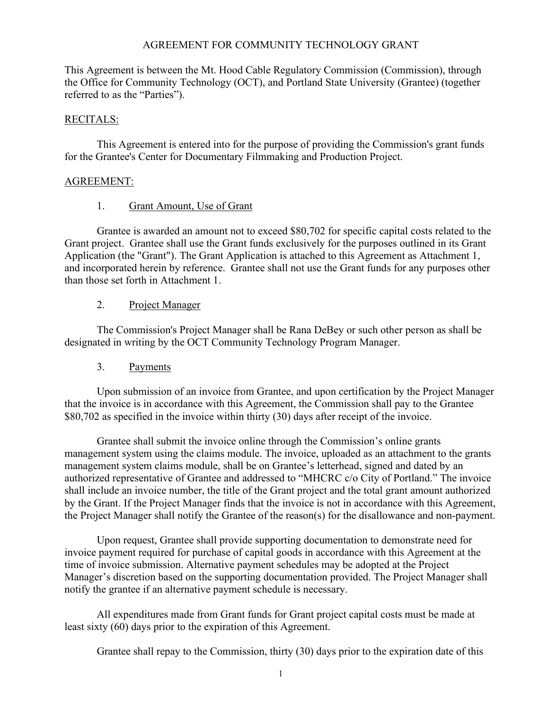## AGREEMENT FOR COMMUNITY TECHNOLOGY GRANT

This Agreement is between the Mt. Hood Cable Regulatory Commission (Commission), through the Office for Community Technology (OCT), and Portland State University (Grantee) (together referred to as the "Parties").

## RECITALS:

This Agreement is entered into for the purpose of providing the Commission's grant funds for the Grantee's Center for Documentary Filmmaking and Production Project.

## AGREEMENT:

## 1. Grant Amount, Use of Grant

Grantee is awarded an amount not to exceed \$80,702 for specific capital costs related to the Grant project. Grantee shall use the Grant funds exclusively for the purposes outlined in its Grant Application (the "Grant"). The Grant Application is attached to this Agreement as Attachment 1, and incorporated herein by reference. Grantee shall not use the Grant funds for any purposes other than those set forth in Attachment 1.

## 2. Project Manager

The Commission's Project Manager shall be Rana DeBey or such other person as shall be designated in writing by the OCT Community Technology Program Manager.

3. Payments

Upon submission of an invoice from Grantee, and upon certification by the Project Manager that the invoice is in accordance with this Agreement, the Commission shall pay to the Grantee \$80,702 as specified in the invoice within thirty (30) days after receipt of the invoice.

Grantee shall submit the invoice online through the Commission's online grants management system using the claims module. The invoice, uploaded as an attachment to the grants management system claims module, shall be on Grantee's letterhead, signed and dated by an authorized representative of Grantee and addressed to "MHCRC c/o City of Portland." The invoice shall include an invoice number, the title of the Grant project and the total grant amount authorized by the Grant. If the Project Manager finds that the invoice is not in accordance with this Agreement, the Project Manager shall notify the Grantee of the reason(s) for the disallowance and non-payment.

Upon request, Grantee shall provide supporting documentation to demonstrate need for invoice payment required for purchase of capital goods in accordance with this Agreement at the time of invoice submission. Alternative payment schedules may be adopted at the Project Manager's discretion based on the supporting documentation provided. The Project Manager shall notify the grantee if an alternative payment schedule is necessary.

All expenditures made from Grant funds for Grant project capital costs must be made at least sixty (60) days prior to the expiration of this Agreement.

Grantee shall repay to the Commission, thirty (30) days prior to the expiration date of this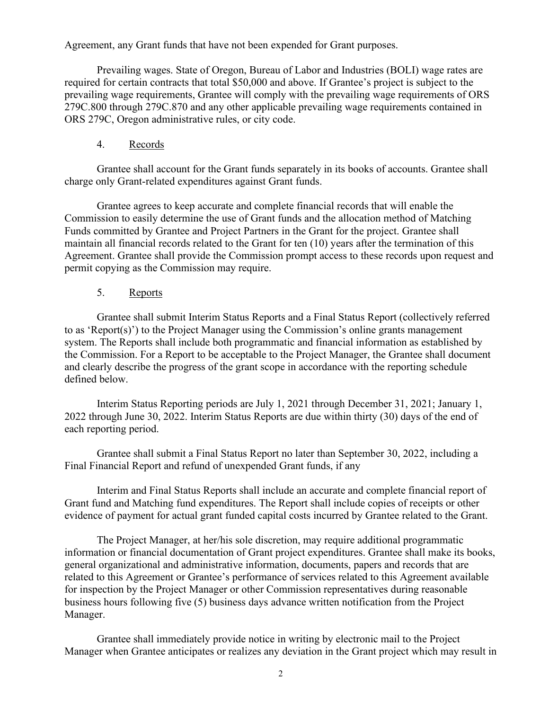Agreement, any Grant funds that have not been expended for Grant purposes.

Prevailing wages. State of Oregon, Bureau of Labor and Industries (BOLI) wage rates are required for certain contracts that total \$50,000 and above. If Grantee's project is subject to the prevailing wage requirements, Grantee will comply with the prevailing wage requirements of ORS 279C.800 through 279C.870 and any other applicable prevailing wage requirements contained in ORS 279C, Oregon administrative rules, or city code.

## 4. Records

Grantee shall account for the Grant funds separately in its books of accounts. Grantee shall charge only Grant-related expenditures against Grant funds.

Grantee agrees to keep accurate and complete financial records that will enable the Commission to easily determine the use of Grant funds and the allocation method of Matching Funds committed by Grantee and Project Partners in the Grant for the project. Grantee shall maintain all financial records related to the Grant for ten (10) years after the termination of this Agreement. Grantee shall provide the Commission prompt access to these records upon request and permit copying as the Commission may require.

## 5. Reports

Grantee shall submit Interim Status Reports and a Final Status Report (collectively referred to as 'Report(s)') to the Project Manager using the Commission's online grants management system. The Reports shall include both programmatic and financial information as established by the Commission. For a Report to be acceptable to the Project Manager, the Grantee shall document and clearly describe the progress of the grant scope in accordance with the reporting schedule defined below.

Interim Status Reporting periods are July 1, 2021 through December 31, 2021; January 1, 2022 through June 30, 2022. Interim Status Reports are due within thirty (30) days of the end of each reporting period.

Grantee shall submit a Final Status Report no later than September 30, 2022, including a Final Financial Report and refund of unexpended Grant funds, if any

Interim and Final Status Reports shall include an accurate and complete financial report of Grant fund and Matching fund expenditures. The Report shall include copies of receipts or other evidence of payment for actual grant funded capital costs incurred by Grantee related to the Grant.

The Project Manager, at her/his sole discretion, may require additional programmatic information or financial documentation of Grant project expenditures. Grantee shall make its books, general organizational and administrative information, documents, papers and records that are related to this Agreement or Grantee's performance of services related to this Agreement available for inspection by the Project Manager or other Commission representatives during reasonable business hours following five (5) business days advance written notification from the Project Manager.

Grantee shall immediately provide notice in writing by electronic mail to the Project Manager when Grantee anticipates or realizes any deviation in the Grant project which may result in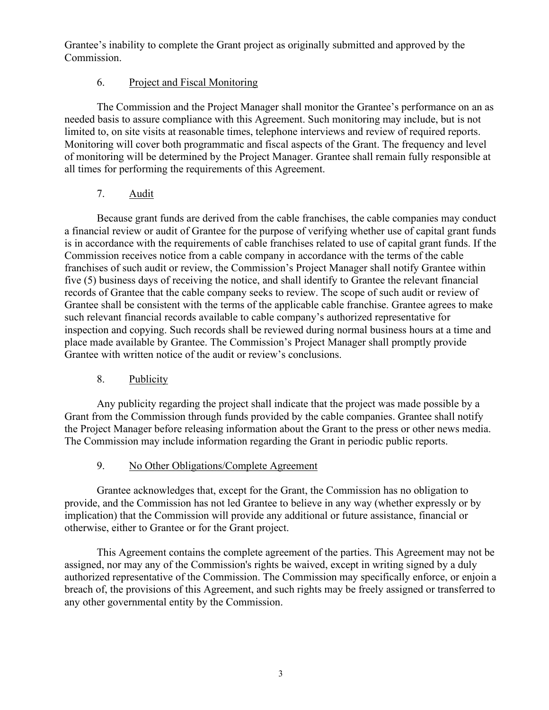Grantee's inability to complete the Grant project as originally submitted and approved by the Commission.

# 6. Project and Fiscal Monitoring

The Commission and the Project Manager shall monitor the Grantee's performance on an as needed basis to assure compliance with this Agreement. Such monitoring may include, but is not limited to, on site visits at reasonable times, telephone interviews and review of required reports. Monitoring will cover both programmatic and fiscal aspects of the Grant. The frequency and level of monitoring will be determined by the Project Manager. Grantee shall remain fully responsible at all times for performing the requirements of this Agreement.

# 7. Audit

Because grant funds are derived from the cable franchises, the cable companies may conduct a financial review or audit of Grantee for the purpose of verifying whether use of capital grant funds is in accordance with the requirements of cable franchises related to use of capital grant funds. If the Commission receives notice from a cable company in accordance with the terms of the cable franchises of such audit or review, the Commission's Project Manager shall notify Grantee within five (5) business days of receiving the notice, and shall identify to Grantee the relevant financial records of Grantee that the cable company seeks to review. The scope of such audit or review of Grantee shall be consistent with the terms of the applicable cable franchise. Grantee agrees to make such relevant financial records available to cable company's authorized representative for inspection and copying. Such records shall be reviewed during normal business hours at a time and place made available by Grantee. The Commission's Project Manager shall promptly provide Grantee with written notice of the audit or review's conclusions.

# 8. Publicity

Any publicity regarding the project shall indicate that the project was made possible by a Grant from the Commission through funds provided by the cable companies. Grantee shall notify the Project Manager before releasing information about the Grant to the press or other news media. The Commission may include information regarding the Grant in periodic public reports.

# 9. No Other Obligations/Complete Agreement

Grantee acknowledges that, except for the Grant, the Commission has no obligation to provide, and the Commission has not led Grantee to believe in any way (whether expressly or by implication) that the Commission will provide any additional or future assistance, financial or otherwise, either to Grantee or for the Grant project.

This Agreement contains the complete agreement of the parties. This Agreement may not be assigned, nor may any of the Commission's rights be waived, except in writing signed by a duly authorized representative of the Commission. The Commission may specifically enforce, or enjoin a breach of, the provisions of this Agreement, and such rights may be freely assigned or transferred to any other governmental entity by the Commission.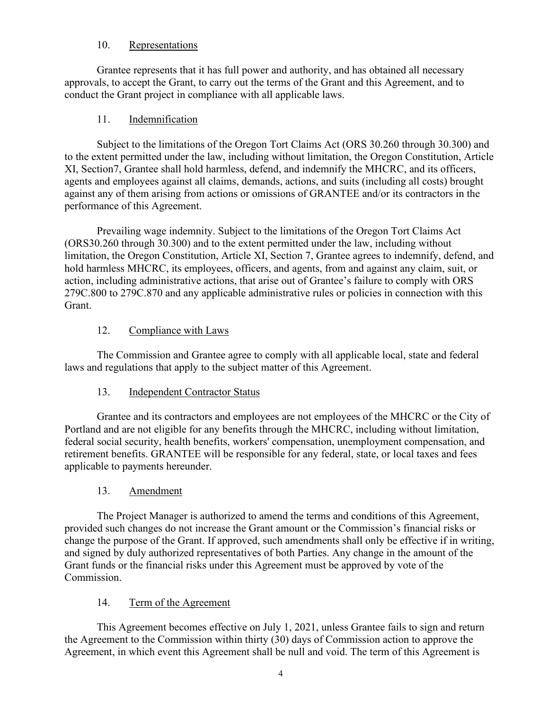## 10. Representations

Grantee represents that it has full power and authority, and has obtained all necessary approvals, to accept the Grant, to carry out the terms of the Grant and this Agreement, and to conduct the Grant project in compliance with all applicable laws.

# 11. Indemnification

Subject to the limitations of the Oregon Tort Claims Act (ORS 30.260 through 30.300) and to the extent permitted under the law, including without limitation, the Oregon Constitution, Article XI, Section7, Grantee shall hold harmless, defend, and indemnify the MHCRC, and its officers, agents and employees against all claims, demands, actions, and suits (including all costs) brought against any of them arising from actions or omissions of GRANTEE and/or its contractors in the performance of this Agreement.

Prevailing wage indemnity. Subject to the limitations of the Oregon Tort Claims Act (ORS30.260 through 30.300) and to the extent permitted under the law, including without limitation, the Oregon Constitution, Article XI, Section 7, Grantee agrees to indemnify, defend, and hold harmless MHCRC, its employees, officers, and agents, from and against any claim, suit, or action, including administrative actions, that arise out of Grantee's failure to comply with ORS 279C.800 to 279C.870 and any applicable administrative rules or policies in connection with this Grant.

# 12. Compliance with Laws

The Commission and Grantee agree to comply with all applicable local, state and federal laws and regulations that apply to the subject matter of this Agreement.

# 13. Independent Contractor Status

Grantee and its contractors and employees are not employees of the MHCRC or the City of Portland and are not eligible for any benefits through the MHCRC, including without limitation, federal social security, health benefits, workers' compensation, unemployment compensation, and retirement benefits. GRANTEE will be responsible for any federal, state, or local taxes and fees applicable to payments hereunder.

# 13. Amendment

The Project Manager is authorized to amend the terms and conditions of this Agreement, provided such changes do not increase the Grant amount or the Commission's financial risks or change the purpose of the Grant. If approved, such amendments shall only be effective if in writing, and signed by duly authorized representatives of both Parties. Any change in the amount of the Grant funds or the financial risks under this Agreement must be approved by vote of the Commission.

# 14. Term of the Agreement

This Agreement becomes effective on July 1, 2021, unless Grantee fails to sign and return the Agreement to the Commission within thirty (30) days of Commission action to approve the Agreement, in which event this Agreement shall be null and void. The term of this Agreement is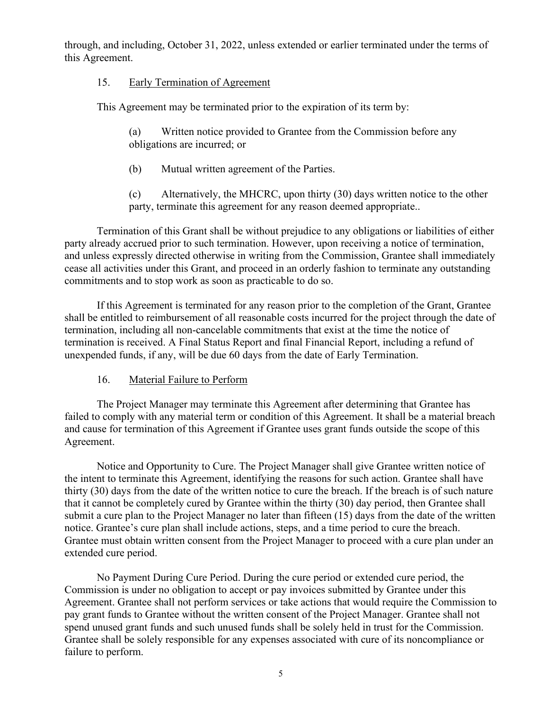through, and including, October 31, 2022, unless extended or earlier terminated under the terms of this Agreement.

### 15. Early Termination of Agreement

This Agreement may be terminated prior to the expiration of its term by:

(a) Written notice provided to Grantee from the Commission before any obligations are incurred; or

(b) Mutual written agreement of the Parties.

(c) Alternatively, the MHCRC, upon thirty (30) days written notice to the other party, terminate this agreement for any reason deemed appropriate..

Termination of this Grant shall be without prejudice to any obligations or liabilities of either party already accrued prior to such termination. However, upon receiving a notice of termination, and unless expressly directed otherwise in writing from the Commission, Grantee shall immediately cease all activities under this Grant, and proceed in an orderly fashion to terminate any outstanding commitments and to stop work as soon as practicable to do so.

If this Agreement is terminated for any reason prior to the completion of the Grant, Grantee shall be entitled to reimbursement of all reasonable costs incurred for the project through the date of termination, including all non-cancelable commitments that exist at the time the notice of termination is received. A Final Status Report and final Financial Report, including a refund of unexpended funds, if any, will be due 60 days from the date of Early Termination.

#### 16. Material Failure to Perform

The Project Manager may terminate this Agreement after determining that Grantee has failed to comply with any material term or condition of this Agreement. It shall be a material breach and cause for termination of this Agreement if Grantee uses grant funds outside the scope of this Agreement.

Notice and Opportunity to Cure. The Project Manager shall give Grantee written notice of the intent to terminate this Agreement, identifying the reasons for such action. Grantee shall have thirty (30) days from the date of the written notice to cure the breach. If the breach is of such nature that it cannot be completely cured by Grantee within the thirty (30) day period, then Grantee shall submit a cure plan to the Project Manager no later than fifteen (15) days from the date of the written notice. Grantee's cure plan shall include actions, steps, and a time period to cure the breach. Grantee must obtain written consent from the Project Manager to proceed with a cure plan under an extended cure period.

No Payment During Cure Period. During the cure period or extended cure period, the Commission is under no obligation to accept or pay invoices submitted by Grantee under this Agreement. Grantee shall not perform services or take actions that would require the Commission to pay grant funds to Grantee without the written consent of the Project Manager. Grantee shall not spend unused grant funds and such unused funds shall be solely held in trust for the Commission. Grantee shall be solely responsible for any expenses associated with cure of its noncompliance or failure to perform.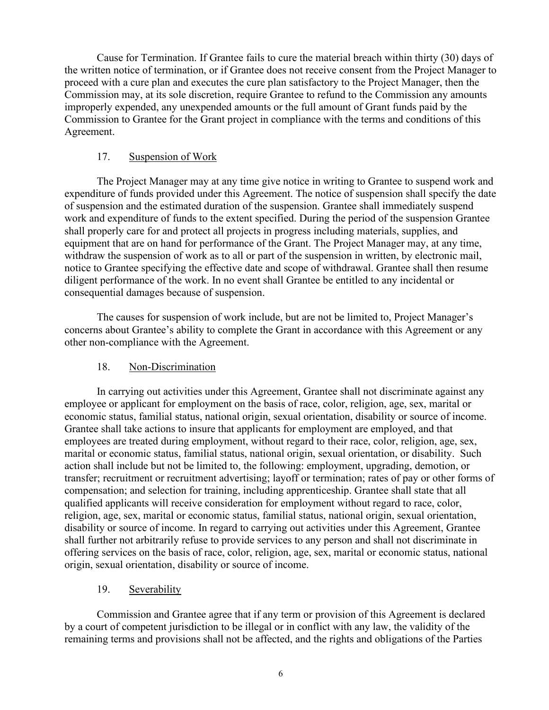Cause for Termination. If Grantee fails to cure the material breach within thirty (30) days of the written notice of termination, or if Grantee does not receive consent from the Project Manager to proceed with a cure plan and executes the cure plan satisfactory to the Project Manager, then the Commission may, at its sole discretion, require Grantee to refund to the Commission any amounts improperly expended, any unexpended amounts or the full amount of Grant funds paid by the Commission to Grantee for the Grant project in compliance with the terms and conditions of this Agreement.

## 17. Suspension of Work

The Project Manager may at any time give notice in writing to Grantee to suspend work and expenditure of funds provided under this Agreement. The notice of suspension shall specify the date of suspension and the estimated duration of the suspension. Grantee shall immediately suspend work and expenditure of funds to the extent specified. During the period of the suspension Grantee shall properly care for and protect all projects in progress including materials, supplies, and equipment that are on hand for performance of the Grant. The Project Manager may, at any time, withdraw the suspension of work as to all or part of the suspension in written, by electronic mail, notice to Grantee specifying the effective date and scope of withdrawal. Grantee shall then resume diligent performance of the work. In no event shall Grantee be entitled to any incidental or consequential damages because of suspension.

The causes for suspension of work include, but are not be limited to, Project Manager's concerns about Grantee's ability to complete the Grant in accordance with this Agreement or any other non-compliance with the Agreement.

## 18. Non-Discrimination

In carrying out activities under this Agreement, Grantee shall not discriminate against any employee or applicant for employment on the basis of race, color, religion, age, sex, marital or economic status, familial status, national origin, sexual orientation, disability or source of income. Grantee shall take actions to insure that applicants for employment are employed, and that employees are treated during employment, without regard to their race, color, religion, age, sex, marital or economic status, familial status, national origin, sexual orientation, or disability. Such action shall include but not be limited to, the following: employment, upgrading, demotion, or transfer; recruitment or recruitment advertising; layoff or termination; rates of pay or other forms of compensation; and selection for training, including apprenticeship. Grantee shall state that all qualified applicants will receive consideration for employment without regard to race, color, religion, age, sex, marital or economic status, familial status, national origin, sexual orientation, disability or source of income. In regard to carrying out activities under this Agreement, Grantee shall further not arbitrarily refuse to provide services to any person and shall not discriminate in offering services on the basis of race, color, religion, age, sex, marital or economic status, national origin, sexual orientation, disability or source of income.

# 19. Severability

Commission and Grantee agree that if any term or provision of this Agreement is declared by a court of competent jurisdiction to be illegal or in conflict with any law, the validity of the remaining terms and provisions shall not be affected, and the rights and obligations of the Parties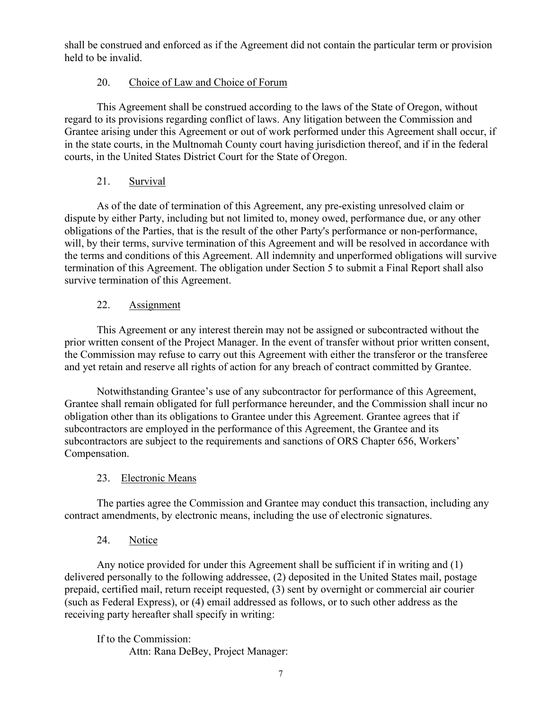shall be construed and enforced as if the Agreement did not contain the particular term or provision held to be invalid.

# 20. Choice of Law and Choice of Forum

This Agreement shall be construed according to the laws of the State of Oregon, without regard to its provisions regarding conflict of laws. Any litigation between the Commission and Grantee arising under this Agreement or out of work performed under this Agreement shall occur, if in the state courts, in the Multnomah County court having jurisdiction thereof, and if in the federal courts, in the United States District Court for the State of Oregon.

# 21. Survival

As of the date of termination of this Agreement, any pre-existing unresolved claim or dispute by either Party, including but not limited to, money owed, performance due, or any other obligations of the Parties, that is the result of the other Party's performance or non-performance, will, by their terms, survive termination of this Agreement and will be resolved in accordance with the terms and conditions of this Agreement. All indemnity and unperformed obligations will survive termination of this Agreement. The obligation under Section 5 to submit a Final Report shall also survive termination of this Agreement.

# 22. Assignment

This Agreement or any interest therein may not be assigned or subcontracted without the prior written consent of the Project Manager. In the event of transfer without prior written consent, the Commission may refuse to carry out this Agreement with either the transferor or the transferee and yet retain and reserve all rights of action for any breach of contract committed by Grantee.

Notwithstanding Grantee's use of any subcontractor for performance of this Agreement, Grantee shall remain obligated for full performance hereunder, and the Commission shall incur no obligation other than its obligations to Grantee under this Agreement. Grantee agrees that if subcontractors are employed in the performance of this Agreement, the Grantee and its subcontractors are subject to the requirements and sanctions of ORS Chapter 656, Workers' Compensation.

# 23. Electronic Means

The parties agree the Commission and Grantee may conduct this transaction, including any contract amendments, by electronic means, including the use of electronic signatures.

# 24. Notice

Any notice provided for under this Agreement shall be sufficient if in writing and (1) delivered personally to the following addressee, (2) deposited in the United States mail, postage prepaid, certified mail, return receipt requested, (3) sent by overnight or commercial air courier (such as Federal Express), or (4) email addressed as follows, or to such other address as the receiving party hereafter shall specify in writing:

If to the Commission: Attn: Rana DeBey, Project Manager: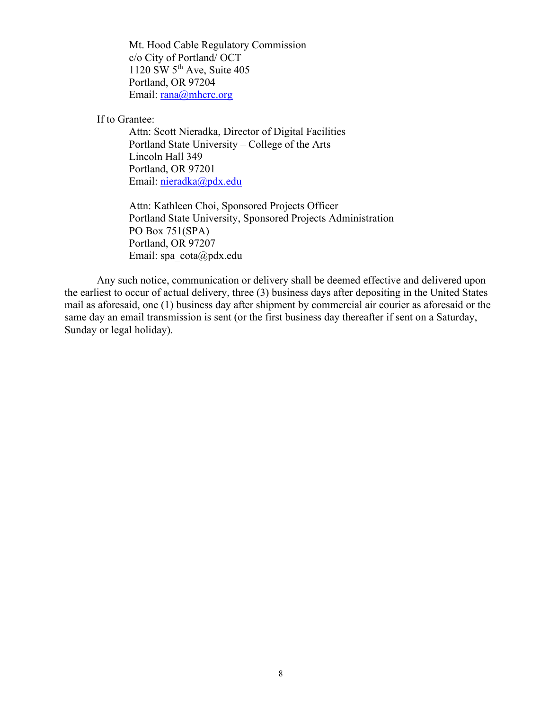Mt. Hood Cable Regulatory Commission c/o City of Portland/ OCT 1120 SW  $5<sup>th</sup>$  Ave, Suite 405 Portland, OR 97204 Email: [rana@mhcrc.org](mailto:rana@mhcrc.org)

If to Grantee:

Attn: Scott Nieradka, Director of Digital Facilities Portland State University – College of the Arts Lincoln Hall 349 Portland, OR 97201 Email: [nieradka@pdx.edu](mailto:nieradka@pdx.edu)

Attn: Kathleen Choi, Sponsored Projects Officer Portland State University, Sponsored Projects Administration PO Box 751(SPA) Portland, OR 97207 Email: spa\_cota@pdx.edu

Any such notice, communication or delivery shall be deemed effective and delivered upon the earliest to occur of actual delivery, three (3) business days after depositing in the United States mail as aforesaid, one (1) business day after shipment by commercial air courier as aforesaid or the same day an email transmission is sent (or the first business day thereafter if sent on a Saturday, Sunday or legal holiday).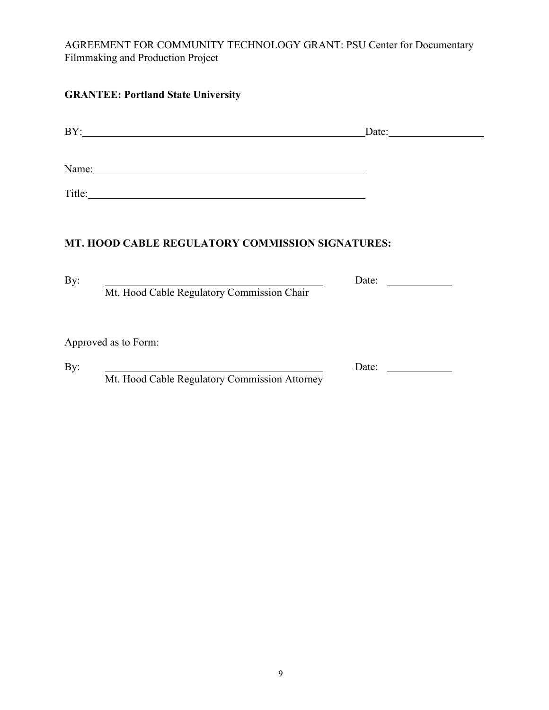AGREEMENT FOR COMMUNITY TECHNOLOGY GRANT: PSU Center for Documentary Filmmaking and Production Project

# **GRANTEE: Portland State University**

| BY:                                                    | Date: |
|--------------------------------------------------------|-------|
|                                                        |       |
| Name:<br><u> 1980 - Jan Samuel Barbara, margaret e</u> |       |
| Title:                                                 |       |
|                                                        |       |

# **MT. HOOD CABLE REGULATORY COMMISSION SIGNATURES:**

|                                            | Date: |
|--------------------------------------------|-------|
| Mt. Hood Cable Regulatory Commission Chair |       |
|                                            |       |
|                                            |       |
|                                            |       |
| Approved as to Form:                       |       |
|                                            | Date: |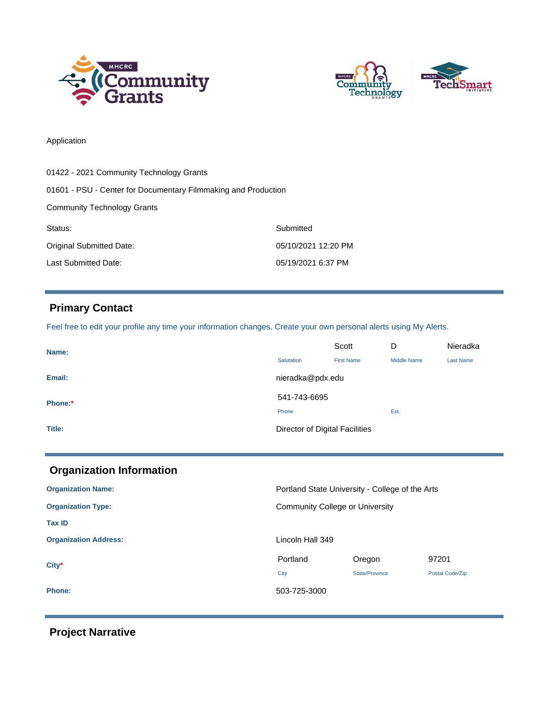



#### Application

| 01422 - 2021 Community Technology Grants                       |                     |  |
|----------------------------------------------------------------|---------------------|--|
| 01601 - PSU - Center for Documentary Filmmaking and Production |                     |  |
| <b>Community Technology Grants</b>                             |                     |  |
| Status:                                                        | Submitted           |  |
| Original Submitted Date:                                       | 05/10/2021 12:20 PM |  |
| Last Submitted Date:                                           | 05/19/2021 6:37 PM  |  |

# **Primary Contact**

Feel free to edit your profile any time your information changes. Create your own personal alerts using My Alerts.

| Name:   |                                | Scott             | D                  | Nieradka         |
|---------|--------------------------------|-------------------|--------------------|------------------|
|         | Salutation                     | <b>First Name</b> | <b>Middle Name</b> | <b>Last Name</b> |
| Email:  | nieradka@pdx.edu               |                   |                    |                  |
| Phone:* | 541-743-6695                   |                   |                    |                  |
|         | Phone                          |                   | Ext.               |                  |
| Title:  | Director of Digital Facilities |                   |                    |                  |

| <b>Organization Information</b> |                                                 |                |                 |
|---------------------------------|-------------------------------------------------|----------------|-----------------|
| <b>Organization Name:</b>       | Portland State University - College of the Arts |                |                 |
| <b>Organization Type:</b>       | <b>Community College or University</b>          |                |                 |
| <b>Tax ID</b>                   |                                                 |                |                 |
| <b>Organization Address:</b>    | Lincoln Hall 349                                |                |                 |
| $City*$                         | Portland                                        | Oregon         | 97201           |
|                                 | City                                            | State/Province | Postal Code/Zip |
| <b>Phone:</b>                   | 503-725-3000                                    |                |                 |

 **Project Narrative**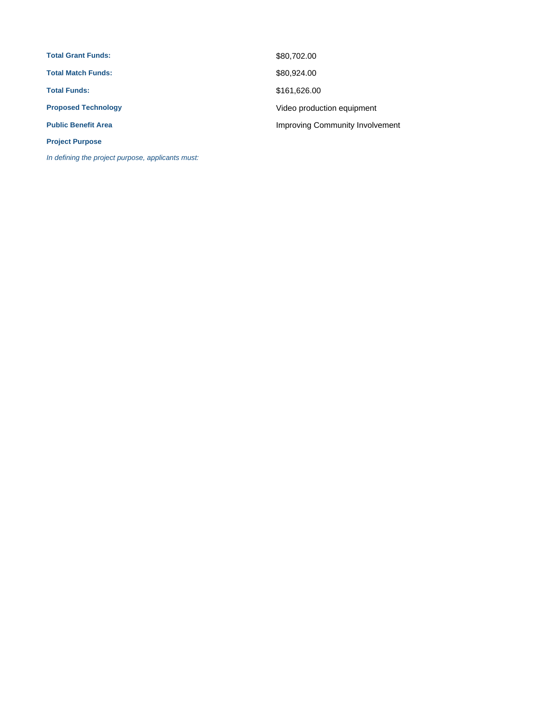| <b>Total Grant Funds:</b>  | \$80,702.00                     |
|----------------------------|---------------------------------|
| <b>Total Match Funds:</b>  | \$80,924.00                     |
| <b>Total Funds:</b>        | \$161,626.00                    |
| <b>Proposed Technology</b> | Video production equipment      |
| <b>Public Benefit Area</b> | Improving Community Involvement |
| <b>Project Purpose</b>     |                                 |

In defining the project purpose, applicants must: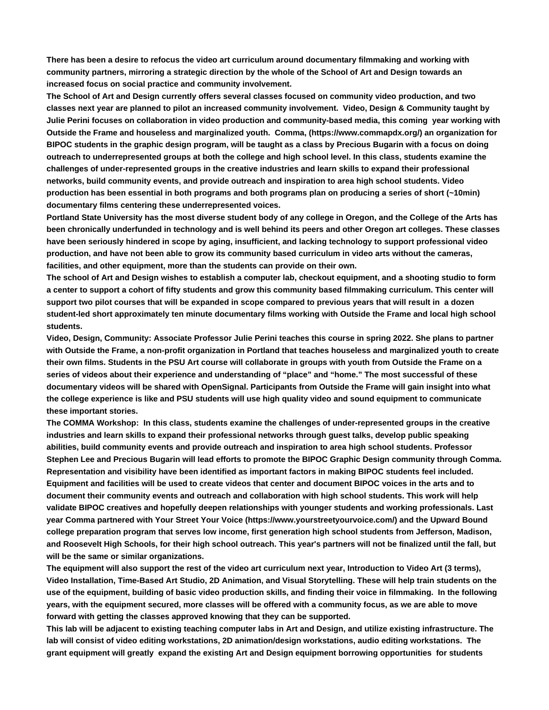**There has been a desire to refocus the video art curriculum around documentary filmmaking and working with community partners, mirroring a strategic direction by the whole of the School of Art and Design towards an increased focus on social practice and community involvement.** 

**The School of Art and Design currently offers several classes focused on community video production, and two classes next year are planned to pilot an increased community involvement. Video, Design & Community taught by Julie Perini focuses on collaboration in video production and community-based media, this coming year working with Outside the Frame and houseless and marginalized youth. Comma, (https://www.commapdx.org/) an organization for BIPOC students in the graphic design program, will be taught as a class by Precious Bugarin with a focus on doing outreach to underrepresented groups at both the college and high school level. In this class, students examine the challenges of under-represented groups in the creative industries and learn skills to expand their professional networks, build community events, and provide outreach and inspiration to area high school students. Video production has been essential in both programs and both programs plan on producing a series of short (~10min) documentary films centering these underrepresented voices.** 

**Portland State University has the most diverse student body of any college in Oregon, and the College of the Arts has been chronically underfunded in technology and is well behind its peers and other Oregon art colleges. These classes have been seriously hindered in scope by aging, insufficient, and lacking technology to support professional video production, and have not been able to grow its community based curriculum in video arts without the cameras, facilities, and other equipment, more than the students can provide on their own.** 

**The school of Art and Design wishes to establish a computer lab, checkout equipment, and a shooting studio to form a center to support a cohort of fifty students and grow this community based filmmaking curriculum. This center will support two pilot courses that will be expanded in scope compared to previous years that will result in a dozen student-led short approximately ten minute documentary films working with Outside the Frame and local high school students.**

**Video, Design, Community: Associate Professor Julie Perini teaches this course in spring 2022. She plans to partner with Outside the Frame, a non-profit organization in Portland that teaches houseless and marginalized youth to create their own films. Students in the PSU Art course will collaborate in groups with youth from Outside the Frame on a series of videos about their experience and understanding of "place" and "home." The most successful of these documentary videos will be shared with OpenSignal. Participants from Outside the Frame will gain insight into what the college experience is like and PSU students will use high quality video and sound equipment to communicate these important stories.**

**The COMMA Workshop: In this class, students examine the challenges of under-represented groups in the creative industries and learn skills to expand their professional networks through guest talks, develop public speaking abilities, build community events and provide outreach and inspiration to area high school students. Professor Stephen Lee and Precious Bugarin will lead efforts to promote the BIPOC Graphic Design community through Comma. Representation and visibility have been identified as important factors in making BIPOC students feel included. Equipment and facilities will be used to create videos that center and document BIPOC voices in the arts and to document their community events and outreach and collaboration with high school students. This work will help validate BIPOC creatives and hopefully deepen relationships with younger students and working professionals. Last year Comma partnered with Your Street Your Voice (<https://www.yourstreetyourvoice.com/>) and the Upward Bound college preparation program that serves low income, first generation high school students from Jefferson, Madison, and Roosevelt High Schools, for their high school outreach. This year's partners will not be finalized until the fall, but will be the same or similar organizations.** 

**The equipment will also support the rest of the video art curriculum next year, Introduction to Video Art (3 terms), Video Installation, Time-Based Art Studio, 2D Animation, and Visual Storytelling. These will help train students on the use of the equipment, building of basic video production skills, and finding their voice in filmmaking. In the following years, with the equipment secured, more classes will be offered with a community focus, as we are able to move forward with getting the classes approved knowing that they can be supported.** 

**This lab will be adjacent to existing teaching computer labs in Art and Design, and utilize existing infrastructure. The lab will consist of video editing workstations, 2D animation/design workstations, audio editing workstations. The grant equipment will greatly expand the existing Art and Design equipment borrowing opportunities for students**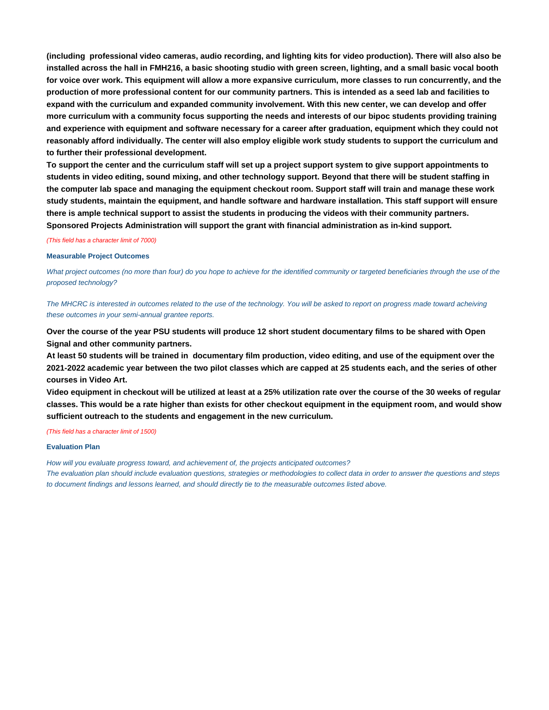**(including professional video cameras, audio recording, and lighting kits for video production). There will also also be installed across the hall in FMH216, a basic shooting studio with green screen, lighting, and a small basic vocal booth for voice over work. This equipment will allow a more expansive curriculum, more classes to run concurrently, and the production of more professional content for our community partners. This is intended as a seed lab and facilities to expand with the curriculum and expanded community involvement. With this new center, we can develop and offer more curriculum with a community focus supporting the needs and interests of our bipoc students providing training and experience with equipment and software necessary for a career after graduation, equipment which they could not reasonably afford individually. The center will also employ eligible work study students to support the curriculum and to further their professional development.** 

**To support the center and the curriculum staff will set up a project support system to give support appointments to students in video editing, sound mixing, and other technology support. Beyond that there will be student staffing in the computer lab space and managing the equipment checkout room. Support staff will train and manage these work study students, maintain the equipment, and handle software and hardware installation. This staff support will ensure there is ample technical support to assist the students in producing the videos with their community partners. Sponsored Projects Administration will support the grant with financial administration as in-kind support.**

(This field has a character limit of 7000)

#### **Measurable Project Outcomes**

What project outcomes (no more than four) do you hope to achieve for the identified community or targeted beneficiaries through the use of the proposed technology?

The MHCRC is interested in outcomes related to the use of the technology. You will be asked to report on progress made toward acheiving these outcomes in your semi-annual grantee reports.

**Over the course of the year PSU students will produce 12 short student documentary films to be shared with Open Signal and other community partners.** 

**At least 50 students will be trained in documentary film production, video editing, and use of the equipment over the 2021-2022 academic year between the two pilot classes which are capped at 25 students each, and the series of other courses in Video Art.** 

**Video equipment in checkout will be utilized at least at a 25% utilization rate over the course of the 30 weeks of regular classes. This would be a rate higher than exists for other checkout equipment in the equipment room, and would show sufficient outreach to the students and engagement in the new curriculum.**

(This field has a character limit of 1500)

#### **Evaluation Plan**

How will you evaluate progress toward, and achievement of, the projects anticipated outcomes?

The evaluation plan should include evaluation questions, strategies or methodologies to collect data in order to answer the questions and steps to document findings and lessons learned, and should directly tie to the measurable outcomes listed above.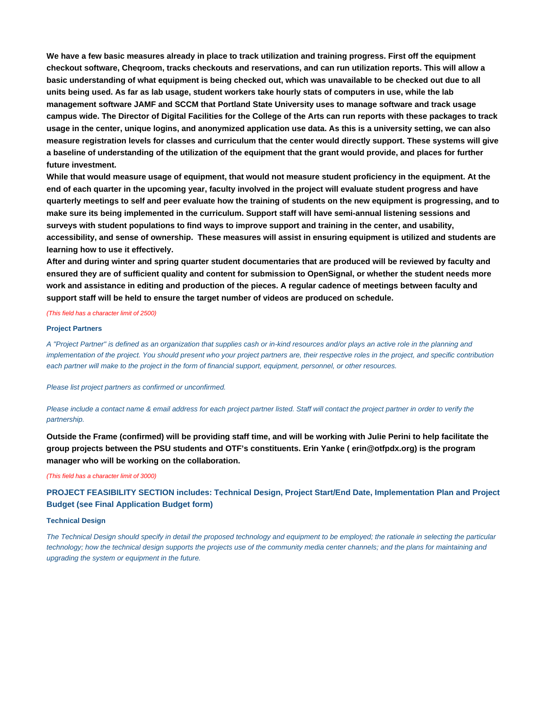**We have a few basic measures already in place to track utilization and training progress. First off the equipment checkout software, Cheqroom, tracks checkouts and reservations, and can run utilization reports. This will allow a basic understanding of what equipment is being checked out, which was unavailable to be checked out due to all units being used. As far as lab usage, student workers take hourly stats of computers in use, while the lab management software JAMF and SCCM that Portland State University uses to manage software and track usage campus wide. The Director of Digital Facilities for the College of the Arts can run reports with these packages to track usage in the center, unique logins, and anonymized application use data. As this is a university setting, we can also measure registration levels for classes and curriculum that the center would directly support. These systems will give a baseline of understanding of the utilization of the equipment that the grant would provide, and places for further future investment.** 

**While that would measure usage of equipment, that would not measure student proficiency in the equipment. At the end of each quarter in the upcoming year, faculty involved in the project will evaluate student progress and have quarterly meetings to self and peer evaluate how the training of students on the new equipment is progressing, and to make sure its being implemented in the curriculum. Support staff will have semi-annual listening sessions and surveys with student populations to find ways to improve support and training in the center, and usability, accessibility, and sense of ownership. These measures will assist in ensuring equipment is utilized and students are learning how to use it effectively.** 

**After and during winter and spring quarter student documentaries that are produced will be reviewed by faculty and ensured they are of sufficient quality and content for submission to OpenSignal, or whether the student needs more work and assistance in editing and production of the pieces. A regular cadence of meetings between faculty and support staff will be held to ensure the target number of videos are produced on schedule.**

#### (This field has a character limit of 2500)

#### **Project Partners**

A "Project Partner" is defined as an organization that supplies cash or in-kind resources and/or plays an active role in the planning and implementation of the project. You should present who your project partners are, their respective roles in the project, and specific contribution each partner will make to the project in the form of financial support, equipment, personnel, or other resources.

#### Please list project partners as confirmed or unconfirmed.

Please include a contact name & email address for each project partner listed. Staff will contact the project partner in order to verify the partnership.

**Outside the Frame (confirmed) will be providing staff time, and will be working with Julie Perini to help facilitate the group projects between the PSU students and OTF's constituents. Erin Yanke ( [erin@otfpdx.org](mailto:erin@otfpdx.org)) is the program manager who will be working on the collaboration.**

#### (This field has a character limit of 3000)

**PROJECT FEASIBILITY SECTION includes: Technical Design, Project Start/End Date, Implementation Plan and Project Budget (see Final Application Budget form)**

#### **Technical Design**

The Technical Design should specify in detail the proposed technology and equipment to be employed; the rationale in selecting the particular technology; how the technical design supports the projects use of the community media center channels; and the plans for maintaining and upgrading the system or equipment in the future.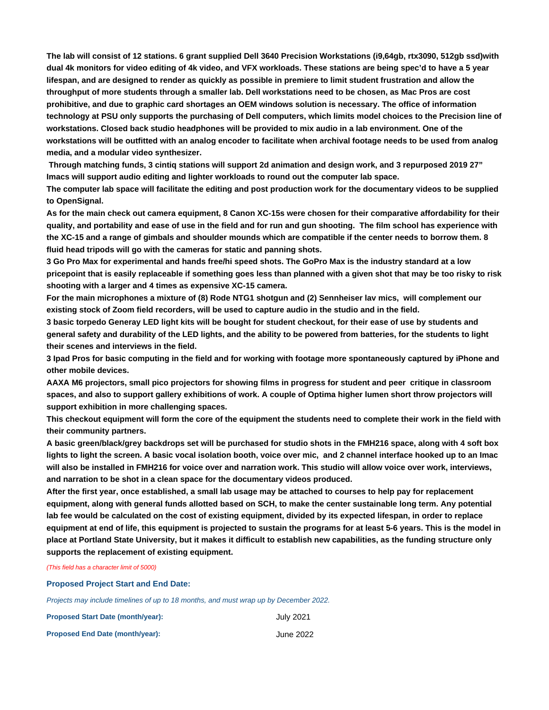**The lab will consist of 12 stations. 6 grant supplied Dell 3640 Precision Workstations (i9,64gb, rtx3090, 512gb ssd)with dual 4k monitors for video editing of 4k video, and VFX workloads. These stations are being spec'd to have a 5 year lifespan, and are designed to render as quickly as possible in premiere to limit student frustration and allow the throughput of more students through a smaller lab. Dell workstations need to be chosen, as Mac Pros are cost prohibitive, and due to graphic card shortages an OEM windows solution is necessary. The office of information technology at PSU only supports the purchasing of Dell computers, which limits model choices to the Precision line of workstations. Closed back studio headphones will be provided to mix audio in a lab environment. One of the workstations will be outfitted with an analog encoder to facilitate when archival footage needs to be used from analog media, and a modular video synthesizer.** 

 **Through matching funds, 3 cintiq stations will support 2d animation and design work, and 3 repurposed 2019 27" Imacs will support audio editing and lighter workloads to round out the computer lab space.** 

**The computer lab space will facilitate the editing and post production work for the documentary videos to be supplied to OpenSignal.** 

**As for the main check out camera equipment, 8 Canon XC-15s were chosen for their comparative affordability for their quality, and portability and ease of use in the field and for run and gun shooting. The film school has experience with the XC-15 and a range of gimbals and shoulder mounds which are compatible if the center needs to borrow them. 8 fluid head tripods will go with the cameras for static and panning shots.**

**3 Go Pro Max for experimental and hands free/hi speed shots. The GoPro Max is the industry standard at a low pricepoint that is easily replaceable if something goes less than planned with a given shot that may be too risky to risk shooting with a larger and 4 times as expensive XC-15 camera.** 

**For the main microphones a mixture of (8) Rode NTG1 shotgun and (2) Sennheiser lav mics, will complement our existing stock of Zoom field recorders, will be used to capture audio in the studio and in the field.** 

**3 basic torpedo Generay LED light kits will be bought for student checkout, for their ease of use by students and general safety and durability of the LED lights, and the ability to be powered from batteries, for the students to light their scenes and interviews in the field.** 

**3 Ipad Pros for basic computing in the field and for working with footage more spontaneously captured by iPhone and other mobile devices.** 

**AAXA M6 projectors, small pico projectors for showing films in progress for student and peer critique in classroom spaces, and also to support gallery exhibitions of work. A couple of Optima higher lumen short throw projectors will support exhibition in more challenging spaces.** 

**This checkout equipment will form the core of the equipment the students need to complete their work in the field with their community partners.** 

**A basic green/black/grey backdrops set will be purchased for studio shots in the FMH216 space, along with 4 soft box lights to light the screen. A basic vocal isolation booth, voice over mic, and 2 channel interface hooked up to an Imac will also be installed in FMH216 for voice over and narration work. This studio will allow voice over work, interviews, and narration to be shot in a clean space for the documentary videos produced.** 

**After the first year, once established, a small lab usage may be attached to courses to help pay for replacement equipment, along with general funds allotted based on SCH, to make the center sustainable long term. Any potential lab fee would be calculated on the cost of existing equipment, divided by its expected lifespan, in order to replace equipment at end of life, this equipment is projected to sustain the programs for at least 5-6 years. This is the model in place at Portland State University, but it makes it difficult to establish new capabilities, as the funding structure only supports the replacement of existing equipment.**

(This field has a character limit of 5000)

**Proposed Project Start and End Date:**

Projects may include timelines of up to 18 months, and must wrap up by December 2022.

| <b>Proposed Start Date (month/year):</b> | July 2021 |
|------------------------------------------|-----------|
| <b>Proposed End Date (month/year):</b>   | June 2022 |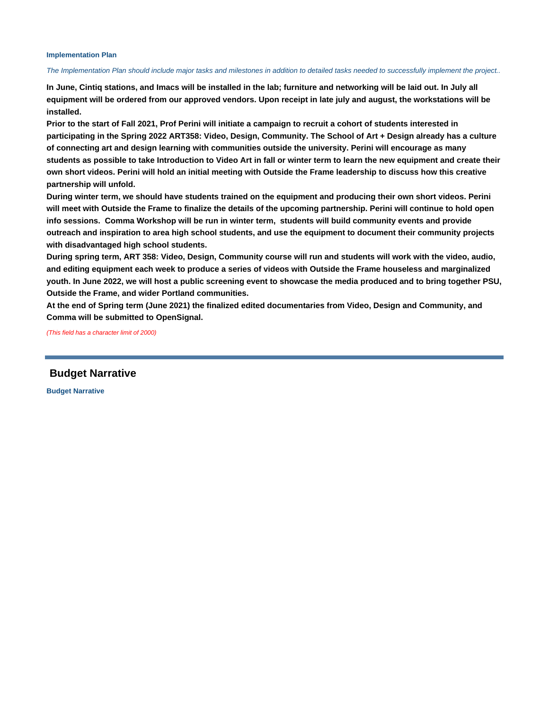#### **Implementation Plan**

#### The Implementation Plan should include major tasks and milestones in addition to detailed tasks needed to successfully implement the project..

**In June, Cintiq stations, and Imacs will be installed in the lab; furniture and networking will be laid out. In July all equipment will be ordered from our approved vendors. Upon receipt in late july and august, the workstations will be installed.**

**Prior to the start of Fall 2021, Prof Perini will initiate a campaign to recruit a cohort of students interested in participating in the Spring 2022 ART358: Video, Design, Community. The School of Art + Design already has a culture of connecting art and design learning with communities outside the university. Perini will encourage as many students as possible to take Introduction to Video Art in fall or winter term to learn the new equipment and create their own short videos. Perini will hold an initial meeting with Outside the Frame leadership to discuss how this creative partnership will unfold.** 

**During winter term, we should have students trained on the equipment and producing their own short videos. Perini will meet with Outside the Frame to finalize the details of the upcoming partnership. Perini will continue to hold open info sessions. Comma Workshop will be run in winter term, students will build community events and provide outreach and inspiration to area high school students, and use the equipment to document their community projects with disadvantaged high school students.**

**During spring term, ART 358: Video, Design, Community course will run and students will work with the video, audio, and editing equipment each week to produce a series of videos with Outside the Frame houseless and marginalized youth. In June 2022, we will host a public screening event to showcase the media produced and to bring together PSU, Outside the Frame, and wider Portland communities.** 

**At the end of Spring term (June 2021) the finalized edited documentaries from Video, Design and Community, and Comma will be submitted to OpenSignal.**

(This field has a character limit of 2000)

 **Budget Narrative**

**Budget Narrative**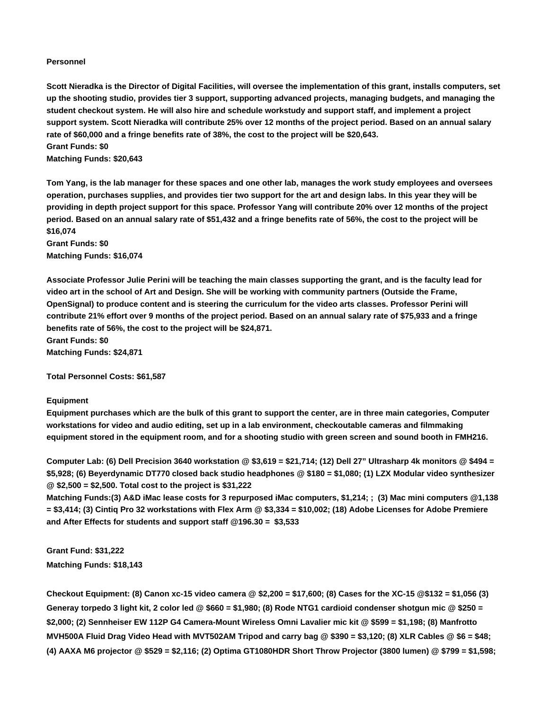#### **Personnel**

**Scott Nieradka is the Director of Digital Facilities, will oversee the implementation of this grant, installs computers, set up the shooting studio, provides tier 3 support, supporting advanced projects, managing budgets, and managing the student checkout system. He will also hire and schedule workstudy and support staff, and implement a project support system. Scott Nieradka will contribute 25% over 12 months of the project period. Based on an annual salary rate of \$60,000 and a fringe benefits rate of 38%, the cost to the project will be \$20,643. Grant Funds: \$0 Matching Funds: \$20,643**

**Tom Yang, is the lab manager for these spaces and one other lab, manages the work study employees and oversees operation, purchases supplies, and provides tier two support for the art and design labs. In this year they will be providing in depth project support for this space. Professor Yang will contribute 20% over 12 months of the project**

**period. Based on an annual salary rate of \$51,432 and a fringe benefits rate of 56%, the cost to the project will be \$16,074 Grant Funds: \$0 Matching Funds: \$16,074**

**Associate Professor Julie Perini will be teaching the main classes supporting the grant, and is the faculty lead for video art in the school of Art and Design. She will be working with community partners (Outside the Frame, OpenSignal) to produce content and is steering the curriculum for the video arts classes. Professor Perini will contribute 21% effort over 9 months of the project period. Based on an annual salary rate of \$75,933 and a fringe benefits rate of 56%, the cost to the project will be \$24,871. Grant Funds: \$0**

**Matching Funds: \$24,871**

**Total Personnel Costs: \$61,587**

#### **Equipment**

**Equipment purchases which are the bulk of this grant to support the center, are in three main categories, Computer workstations for video and audio editing, set up in a lab environment, checkoutable cameras and filmmaking equipment stored in the equipment room, and for a shooting studio with green screen and sound booth in FMH216.**

**Computer Lab: (6) Dell Precision 3640 workstation @ \$3,619 = \$21,714; (12) Dell 27" Ultrasharp 4k monitors @ \$494 = \$5,928; (6) Beyerdynamic DT770 closed back studio headphones @ \$180 = \$1,080; (1) LZX Modular video synthesizer @ \$2,500 = \$2,500. Total cost to the project is \$31,222**

**Matching Funds:(3) A&D iMac lease costs for 3 repurposed iMac computers, \$1,214; ; (3) Mac mini computers @1,138 = \$3,414; (3) Cintiq Pro 32 workstations with Flex Arm @ \$3,334 = \$10,002; (18) Adobe Licenses for Adobe Premiere and After Effects for students and support staff @196.30 = \$3,533**

**Grant Fund: \$31,222 Matching Funds: \$18,143**

**Checkout Equipment: (8) Canon xc-15 video camera @ \$2,200 = \$17,600; (8) Cases for the XC-15 @\$132 = \$1,056 (3) Generay torpedo 3 light kit, 2 color led @ \$660 = \$1,980; (8) Rode NTG1 cardioid condenser shotgun mic @ \$250 = \$2,000; (2) Sennheiser EW 112P G4 Camera-Mount Wireless Omni Lavalier mic kit @ \$599 = \$1,198; (8) Manfrotto MVH500A Fluid Drag Video Head with MVT502AM Tripod and carry bag @ \$390 = \$3,120; (8) XLR Cables @ \$6 = \$48; (4) AAXA M6 projector @ \$529 = \$2,116; (2) Optima GT1080HDR Short Throw Projector (3800 lumen) @ \$799 = \$1,598;**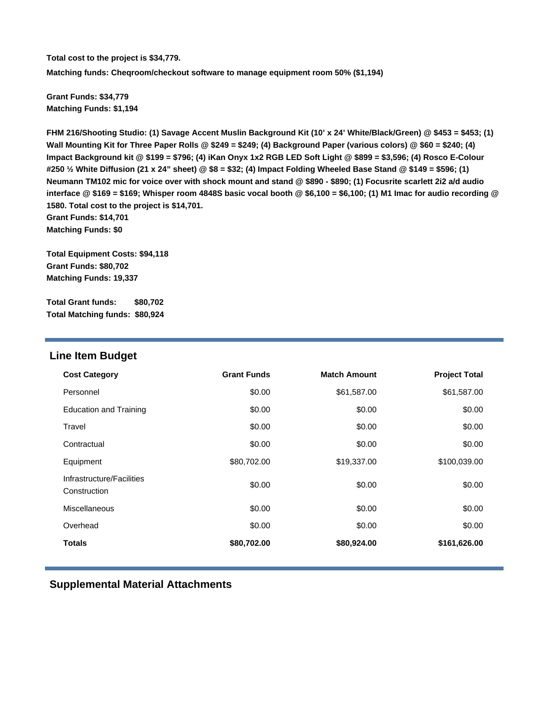**Total cost to the project is \$34,779. Matching funds: Cheqroom/checkout software to manage equipment room 50% (\$1,194)** 

**Grant Funds: \$34,779 Matching Funds: \$1,194**

**FHM 216/Shooting Studio: (1) Savage Accent Muslin Background Kit (10' x 24' White/Black/Green) @ \$453 = \$453; (1) Wall Mounting Kit for Three Paper Rolls @ \$249 = \$249; (4) Background Paper (various colors) @ \$60 = \$240; (4) Impact Background kit @ \$199 = \$796; (4) iKan Onyx 1x2 RGB LED Soft Light @ \$899 = \$3,596; (4) Rosco E-Colour #250 ½ White Diffusion (21 x 24" sheet) @ \$8 = \$32; (4) Impact Folding Wheeled Base Stand @ \$149 = \$596; (1) Neumann TM102 mic for voice over with shock mount and stand @ \$890 - \$890; (1) Focusrite scarlett 2i2 a/d audio interface @ \$169 = \$169; Whisper room 4848S basic vocal booth @ \$6,100 = \$6,100; (1) M1 Imac for audio recording @ 1580. Total cost to the project is \$14,701. Grant Funds: \$14,701 Matching Funds: \$0**

**Total Equipment Costs: \$94,118 Grant Funds: \$80,702 Matching Funds: 19,337**

**Total Grant funds: \$80,702 Total Matching funds: \$80,924**

### **Line Item Budget**

| <b>Cost Category</b>                      | <b>Grant Funds</b> | <b>Match Amount</b> | <b>Project Total</b> |
|-------------------------------------------|--------------------|---------------------|----------------------|
| Personnel                                 | \$0.00             | \$61,587.00         | \$61,587.00          |
| <b>Education and Training</b>             | \$0.00             | \$0.00              | \$0.00               |
| Travel                                    | \$0.00             | \$0.00              | \$0.00               |
| Contractual                               | \$0.00             | \$0.00              | \$0.00               |
| Equipment                                 | \$80,702.00        | \$19,337.00         | \$100,039.00         |
| Infrastructure/Facilities<br>Construction | \$0.00             | \$0.00              | \$0.00               |
| Miscellaneous                             | \$0.00             | \$0.00              | \$0.00               |
| Overhead                                  | \$0.00             | \$0.00              | \$0.00               |
| <b>Totals</b>                             | \$80,702.00        | \$80,924.00         | \$161,626.00         |

 **Supplemental Material Attachments**